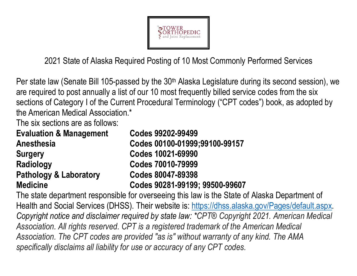

2021 State of Alaska Required Posting of 10 Most Commonly Performed Services

Per state law (Senate Bill 105-passed by the 30<sup>th</sup> Alaska Legislature during its second session), we are required to post annually a list of our 10 most frequently billed service codes from the six sections of Category I of the Current Procedural Terminology ("CPT codes") book, as adopted by the American Medical Association.\*

The six sections are as follows:

| <b>Evaluation &amp; Management</b> | Codes 99202-99499              |
|------------------------------------|--------------------------------|
| <b>Anesthesia</b>                  | Codes 00100-01999;99100-99157  |
| <b>Surgery</b>                     | Codes 10021-69990              |
| <b>Radiology</b>                   | Codes 70010-79999              |
| <b>Pathology &amp; Laboratory</b>  | Codes 80047-89398              |
| <b>Medicine</b>                    | Codes 90281-99199; 99500-99607 |

The state department responsible for overseeing this law is the State of Alaska Department of Health and Social Services (DHSS). Their website is: https://dhss.alaska.gov/Pages/default.aspx. *Copyright notice and disclaimer required by state law: \*CPT® Copyright 2021. American Medical Association. All rights reserved. CPT is a registered trademark of the American Medical Association. The CPT codes are provided "as is" without warranty of any kind. The AMA specifically disclaims all liability for use or accuracy of any CPT codes.*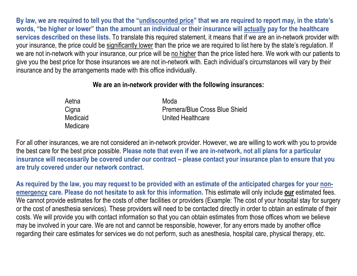**By law, we are required to tell you that the "undiscounted price" that we are required to report may, in the state's words, "be higher or lower" than the amount an individual or their insurance will actually pay for the healthcare services described on these lists.** To translate this required statement, it means that if we are an in-network provider with your insurance, the price could be <u>significantly lower</u> than the price we are required to list here by the state's regulation. If we are not in-network with your insurance, our price will be no higher than the price listed here. We work with our patients to give you the best price for those insurances we are not in-network with. Each individual's circumstances will vary by their insurance and by the arrangements made with this office individually.

## **We are an in-network provider with the following insurances:**

| Aetna    | Moda                           |
|----------|--------------------------------|
| Cigna    | Premera/Blue Cross Blue Shield |
| Medicaid | United Healthcare              |
| Medicare |                                |

For all other insurances, we are not considered an in-network provider. However, we are willing to work with you to provide the best care for the best price possible. **Please note that even if we are in-network, not all plans for a particular insurance will necessarily be covered under our contract – please contact your insurance plan to ensure that you are truly covered under our network contract.** 

**As required by the law, you may request to be provided with an estimate of the anticipated charges for your nonemergency care. Please do not hesitate to ask for this information.** This estimate will only include **our** estimated fees. We cannot provide estimates for the costs of other facilities or providers (Example: The cost of your hospital stay for surgery or the cost of anesthesia services). These providers will need to be contacted directly in order to obtain an estimate of their costs. We will provide you with contact information so that you can obtain estimates from those offices whom we believe may be involved in your care. We are not and cannot be responsible, however, for any errors made by another office regarding their care estimates for services we do not perform, such as anesthesia, hospital care, physical therapy, etc.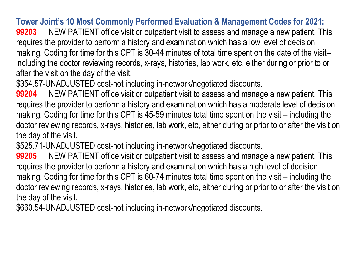**Tower Joint's 10 Most Commonly Performed Evaluation & Management Codes for 2021:** 

**99203** NEW PATIENT office visit or outpatient visit to assess and manage a new patient. This requires the provider to perform a history and examination which has a low level of decision making. Coding for time for this CPT is 30-44 minutes of total time spent on the date of the visitincluding the doctor reviewing records, x-rays, histories, lab work, etc, either during or prior to orafter the visit on the day of the visit.

\$354.57-UNADJUSTED cost-not including in-network/negotiated discounts.

**99204** NEW PATIENT office visit or outpatient visit to assess and manage a new patient. This requires the provider to perform a history and examination which has a moderate level of decision making. Coding for time for this CPT is 45-59 minutes total time spent on the visit – including the doctor reviewing records, x-rays, histories, lab work, etc, either during or prior to or after the visit on the day of the visit.

\$525.71-UNADJUSTED cost-not including in-network/negotiated discounts.

 **99205** NEW PATIENT office visit or outpatient visit to assess and manage a new patient. This requires the provider to perform a history and examination which has a high level of decision making. Coding for time for this CPT is 60-74 minutes total time spent on the visit – including the doctor reviewing records, x-rays, histories, lab work, etc, either during or prior to or after the visit on the day of the visit.

\$660.54-UNADJUSTED cost-not including in-network/negotiated discounts.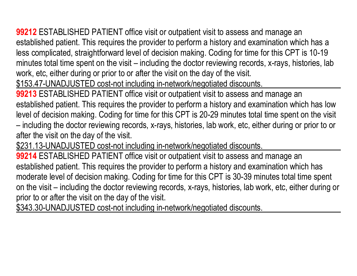**99212** ESTABLISHED PATIENT office visit or outpatient visit to assess and manage an established patient. This requires the provider to perform a history and examination which has a less complicated, straightforward level of decision making. Coding for time for this CPT is 10-19 minutes total time spent on the visit – including the doctor reviewing records, x-rays, histories, labwork, etc, either during or prior to or after the visit on the day of the visit.

\$153.47-UNADJUSTED cost-not including in-network/negotiated discounts.

**99213** ESTABLISHED PATIENT office visit or outpatient visit to assess and manage an established patient. This requires the provider to perform a history and examination which has low level of decision making. Coding for time for this CPT is 20-29 minutes total time spent on the visit – including the doctor reviewing records, x-rays, histories, lab work, etc, either during or prior to or after the visit on the day of the visit.

\$231.13-UNADJUSTED cost-not including in-network/negotiated discounts.

**99214** ESTABLISHED PATIENT office visit or outpatient visit to assess and manage an established patient. This requires the provider to perform a history and examination which has moderate level of decision making. Coding for time for this CPT is 30-39 minutes total time spent on the visit – including the doctor reviewing records, x-rays, histories, lab work, etc, either during or

prior to or after the visit on the day of the visit.<br>\$343.30-UNADJUSTED cost-not including in-network/negotiated discounts.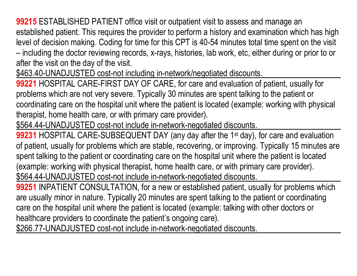**99215** ESTABLISHED PATIENT office visit or outpatient visit to assess and manage an established patient. This requires the provider to perform a history and examination which has high level of decision making. Coding for time for this CPT is 40-54 minutes total time spent on the visit – including the doctor reviewing records, x-rays, histories, lab work, etc, either during or prior to or after the visit on the day of the visit.

\$463.40-UNADJUSTED cost-not including in-network/negotiated discounts.

**99221** HOSPITAL CARE-FIRST DAY OF CARE, for care and evaluation of patient, usually for problems which are not very severe. Typically 30 minutes are spent talking to the patient or coordinating care on the hospital unit where the patient is located (example: working with physical therapist, home health care, or with primary care provider).

\$564.44-UNADJUSTED cost-not include in-network-negotiated discounts.

**99231** HOSPITAL CARE-SUBSEQUENT DAY (any day after the 1<sup>st</sup> day), for care and evaluation of patient, usually for problems which are stable, recovering, or improving. Typically 15 minutes are spent talking to the patient or coordinating care on the hospital unit where the patient is located (example: working with physical therapist, home health care, or with primary care provider). \$564.44-UNADJUSTED cost-not include in-network-negotiated discounts.

**99251** INPATIENT CONSULTATION, for a new or established patient, usually for problems which are usually minor in nature. Typically 20 minutes are spent talking to the patient or coordinating care on the hospital unit where the patient is located (example: talking with other doctors or healthcare providers to coordinate the patient's ongoing care).

\$266.77-UNADJUSTED cost-not include in-network-negotiated discounts.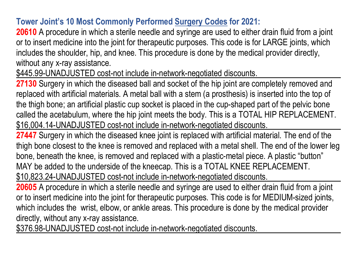## **Tower Joint's 10 Most Commonly Performed Surgery Codes for 2021:**

**20610** A procedure in which a sterile needle and syringe are used to either drain fluid from a joint or to insert medicine into the joint for therapeutic purposes. This code is for LARGE joints, which includes the shoulder, hip, and knee. This procedure is done by the medical provider directly, without any x-ray assistance.

\$445.99-UNADJUSTED cost-not include in-network-negotiated discounts.

**27130** Surgery in which the diseased ball and socket of the hip joint are completely removed and replaced with artificial materials. A metal ball with a stem (a prosthesis) is inserted into the top of the thigh bone; an artificial plastic cup socket is placed in the cup-shaped part of the pelvic bone called the acetabulum, where the hip joint meets the body. This is a TOTAL HIP REPLACEMENT. \$16,004.14-UNADJUSTED cost-not include in-network-negotiated discounts.

**27447** Surgery in which the diseased knee joint is replaced with artificial material. The end of the thigh bone closest to the knee is removed and replaced with a metal shell. The end of the lower leg bone, beneath the knee, is removed and replaced with a plastic-metal piece. A plastic "button" MAY be added to the underside of the kneecap. This is a TOTAL KNEE REPLACEMENT. \$10,823.24-UNADJUSTED cost-not include in-network-negotiated discounts.

**20605** A procedure in which a sterile needle and syringe are used to either drain fluid from a joint or to insert medicine into the joint for therapeutic purposes. This code is for MEDIUM-sized joints, which includes the wrist, elbow, or ankle areas. This procedure is done by the medical provider directly, without any x-ray assistance.

\$376.98-UNADJUSTED cost-not include in-network-negotiated discounts.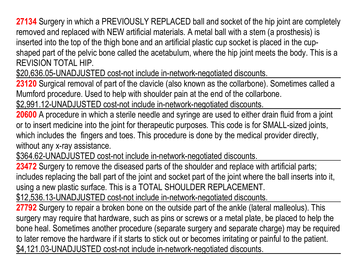**27134** Surgery in which a PREVIOUSLY REPLACED ball and socket of the hip joint are completely removed and replaced with NEW artificial materials. A metal ball with a stem (a prosthesis) is inserted into the top of the thigh bone and an artificial plastic cup socket is placed in the cupshaped part of the pelvic bone called the acetabulum, where the hip joint meets the body. This is a REVISION TOTAL HIP.

\$20,636.05-UNADJUSTED cost-not include in-network-negotiated discounts.

**23120** Surgical removal of part of the clavicle (also known as the collarbone). Sometimes called a Mumford procedure. Used to help with shoulder pain at the end of the collarbone.

\$2,991.12-UNADJUSTED cost-not include in-network-negotiated discounts.

**20600** A procedure in which a sterile needle and syringe are used to either drain fluid from a joint or to insert medicine into the joint for therapeutic purposes. This code is for SMALL-sized joints, which includes the fingers and toes. This procedure is done by the medical provider directly, without any x-ray assistance.

\$364.62-UNADJUSTED cost-not include in-network-negotiated discounts.

**23472** Surgery to remove the diseased parts of the shoulder and replace with artificial parts; includes replacing the ball part of the joint and socket part of the joint where the ball inserts into it, using a new plastic surface. This is a TOTAL SHOULDER REPLACEMENT.

\$12,536.13-UNADJUSTED cost-not include in-network-negotiated discounts.

**27792** Surgery to repair a broken bone on the outside part of the ankle (lateral malleolus). This surgery may require that hardware, such as pins or screws or a metal plate, be placed to help the bone heal. Sometimes another procedure (separate surgery and separate charge) may be required to later remove the hardware if it starts to stick out or becomes irritating or painful to the patient. \$4,121.03-UNADJUSTED cost-not include in-network-negotiated discounts.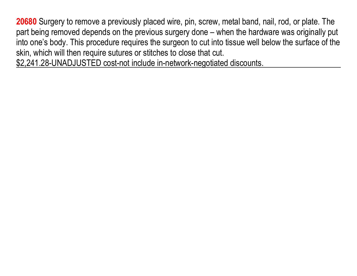**20680** Surgery to remove a previously placed wire, pin, screw, metal band, nail, rod, or plate. The part being removed depends on the previous surgery done – when the hardware was originally put into one's body. This procedure requires the surgeon to cut into tissue well below the surface of the skin, which will then require sutures or stitches to close that cut.

\$2,241.28-UNADJUSTED cost-not include in-network-negotiated discounts.